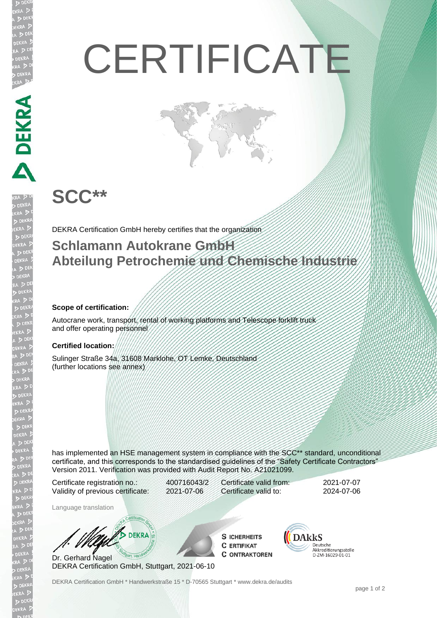# **CERTIFICATE**

## **SCC\*\***

DEKRA SE

**JEKR** 

DEKRA Certification GmbH hereby certifies that the organization

### **Schlamann Autokrane GmbH Abteilung Petrochemie und Chemische Industrie**

#### **Scope of certification:**

Autocrane work, transport, rental of working platforms and Telescope forklift truck and offer operating personnel

#### **Certified location:**

Sulinger Straße 34a, 31608 Marklohe, OT Lemke, Deutschland (further locations see annex)

has implemented an HSE management system in compliance with the SCC\*\* standard, unconditional certificate, and this corresponds to the standardised guidelines of the "Safety Certificate Contractors" Version 2011. Verification was provided with Audit Report No. A21021099.

Certificate registration no.: 400716043/2 Validity of previous certificate: 2021-07-06

Certificate valid from: 2021-07-07 Certificate valid to: 2024-07-06

Language translation

**DEKRA** 

Dr. Gerhard Nagel DEKRA Certification GmbH, Stuttgart, 2021-06-10

**S ICHERHEITS C ERTIFIKAT C ONTRAKTOREN** 



DEKRA Certification GmbH \* Handwerkstraße 15 \* D-70565 Stuttgart \* www.dekra.de/audits